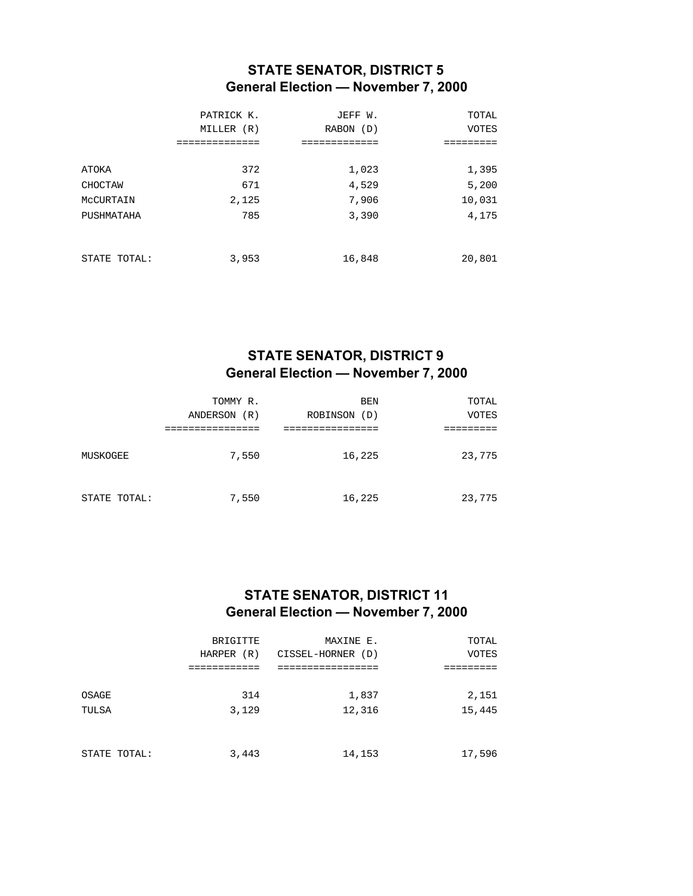## **STATE SENATOR, DISTRICT 5 General Election — November 7, 2000**

|              | PATRICK K.<br>MILLER (R)<br>=========== | JEFF W.<br>RABON (D)<br>=========== | TOTAL<br><b>VOTES</b> |
|--------------|-----------------------------------------|-------------------------------------|-----------------------|
|              |                                         |                                     |                       |
| ATOKA        | 372                                     | 1,023                               | 1,395                 |
| CHOCTAW      | 671                                     | 4,529                               | 5,200                 |
| MCCURTAIN    | 2,125                                   | 7,906                               | 10,031                |
| PUSHMATAHA   | 785                                     | 3,390                               | 4,175                 |
|              |                                         |                                     |                       |
|              |                                         |                                     |                       |
| STATE TOTAL: | 3,953                                   | 16,848                              | 20,801                |

# **STATE SENATOR, DISTRICT 9 General Election — November 7, 2000**

|              | TOMMY R.<br>ANDERSON<br>(R) | BEN<br>ROBINSON (D) | TOTAL<br><b>VOTES</b> |
|--------------|-----------------------------|---------------------|-----------------------|
|              |                             |                     |                       |
| MUSKOGEE     | 7,550                       | 16,225              | 23,775                |
| STATE TOTAL: | 7,550                       | 16,225              | 23,775                |

## **STATE SENATOR, DISTRICT 11 General Election — November 7, 2000**

|              | BRIGITTE   | MAXINE E.         | TOTAL        |
|--------------|------------|-------------------|--------------|
|              | HARPER (R) | CISSEL-HORNER (D) | <b>VOTES</b> |
|              |            |                   |              |
|              |            |                   |              |
| OSAGE        | 314        | 1,837             | 2,151        |
| TULSA        | 3,129      | 12,316            | 15,445       |
|              |            |                   |              |
|              |            |                   |              |
| STATE TOTAL: | 3,443      | 14,153            | 17,596       |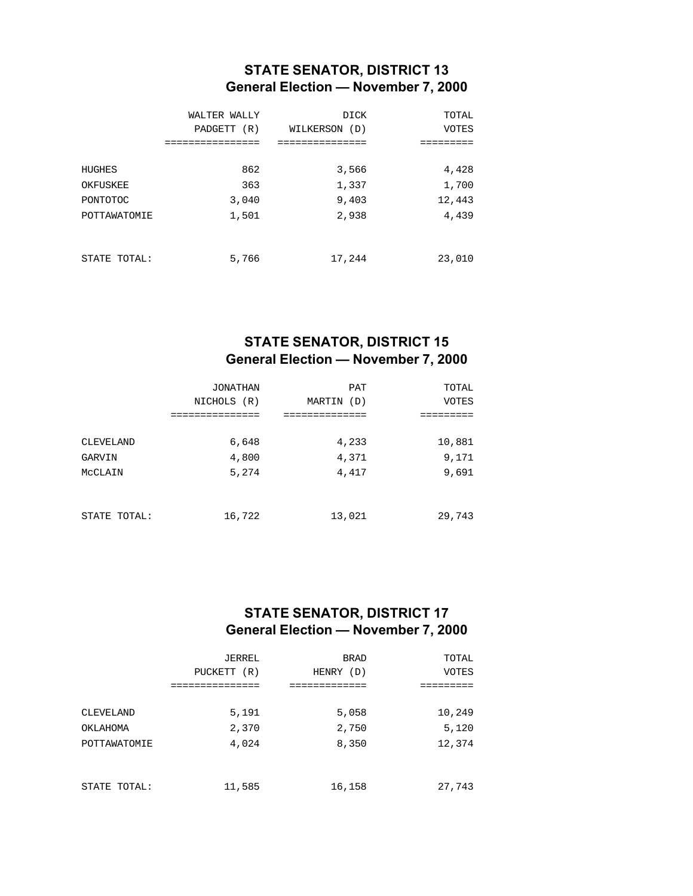## **STATE SENATOR, DISTRICT 13 General Election — November 7, 2000**

|              | WALTER WALLY<br>PADGETT (R)<br>. | <b>DICK</b><br>WILKERSON (D) | TOTAL<br><b>VOTES</b> |
|--------------|----------------------------------|------------------------------|-----------------------|
| HUGHES       | 862                              | 3,566                        | 4,428                 |
| OKFUSKEE     | 363                              | 1,337                        | 1,700                 |
| PONTOTOC     | 3,040                            | 9,403                        | 12,443                |
| POTTAWATOMIE | 1,501                            | 2,938                        | 4,439                 |
| STATE TOTAL: | 5,766                            | 17,244                       | 23,010                |

#### **STATE SENATOR, DISTRICT 15 General Election — November 7, 2000**

|              | <b>JONATHAN</b> | <b>PAT</b>    | TOTAL        |
|--------------|-----------------|---------------|--------------|
|              | NICHOLS (R)     | MARTIN<br>(D) | <b>VOTES</b> |
|              |                 |               |              |
|              |                 |               |              |
| CLEVELAND    | 6,648           | 4,233         | 10,881       |
| GARVIN       | 4,800           | 4,371         | 9,171        |
| MCCLAIN      | 5,274           | 4,417         | 9,691        |
|              |                 |               |              |
|              |                 |               |              |
| STATE TOTAL: | 16,722          | 13,021        | 29,743       |

## **STATE SENATOR, DISTRICT 17 General Election — November 7, 2000**

|              | <b>JERREL</b> | <b>BRAD</b> | TOTAL        |
|--------------|---------------|-------------|--------------|
|              | PUCKETT (R)   | HENRY (D)   | <b>VOTES</b> |
|              | ============  |             |              |
| CLEVELAND    | 5,191         | 5,058       | 10,249       |
| OKLAHOMA     | 2,370         | 2,750       | 5,120        |
| POTTAWATOMIE | 4,024         | 8,350       | 12,374       |
|              |               |             |              |
| STATE TOTAL: | 11,585        | 16,158      | 27,743       |
|              |               |             |              |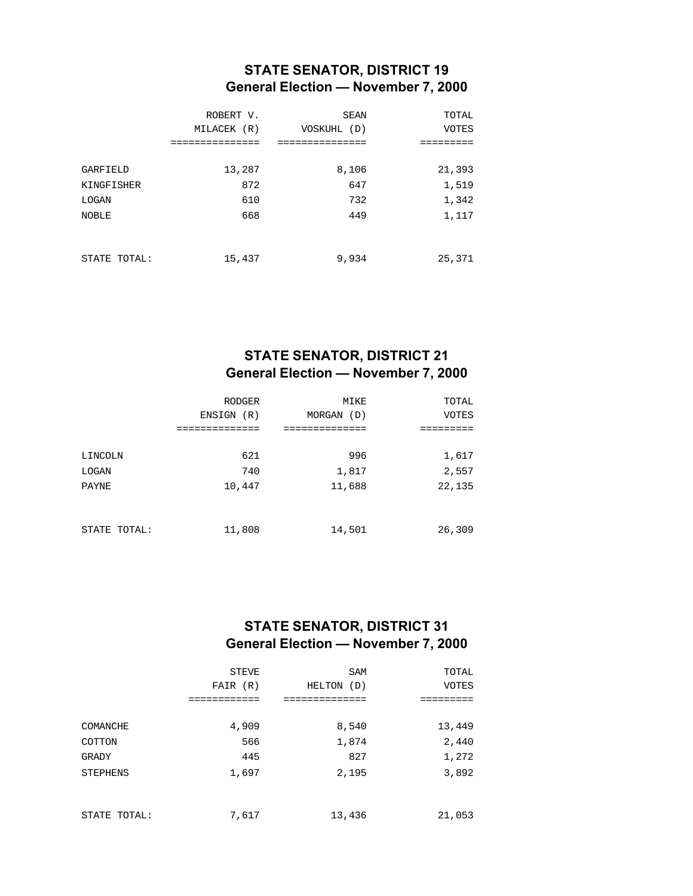## **STATE SENATOR, DISTRICT 19 General Election — November 7, 2000**

|                        | ROBERT V.<br>MILACEK (R) | SEAN<br>VOSKUHL (D) | TOTAL<br><b>VOTES</b> |
|------------------------|--------------------------|---------------------|-----------------------|
| GARFIELD<br>KINGFISHER | 13,287<br>872            | 8,106<br>647        | 21,393<br>1,519       |
| LOGAN                  | 610                      | 732                 | 1,342                 |
| <b>NOBLE</b>           | 668                      | 449                 | 1,117                 |
| STATE TOTAL:           | 15,437                   | 9,934               | 25,371                |

# **STATE SENATOR, DISTRICT 21 General Election — November 7, 2000**

|              | <b>RODGER</b> | MIKE       | TOTAL        |
|--------------|---------------|------------|--------------|
|              | ENSIGN (R)    | MORGAN (D) | <b>VOTES</b> |
| LINCOLN      | 621           | 996        | 1,617        |
| LOGAN        | 740           | 1,817      | 2,557        |
| <b>PAYNE</b> | 10,447        | 11,688     | 22,135       |
| STATE TOTAL: | 11,808        | 14,501     | 26,309       |

## **STATE SENATOR, DISTRICT 31 General Election — November 7, 2000**

|                 | <b>STEVE</b> | <b>SAM</b>    | TOTAL        |
|-----------------|--------------|---------------|--------------|
|                 | FAIR (R)     | HELTON<br>(D) | <b>VOTES</b> |
|                 |              |               |              |
|                 |              |               |              |
| COMANCHE        | 4,909        | 8,540         | 13,449       |
| COTTON          | 566          | 1,874         | 2,440        |
| GRADY           | 445          | 827           | 1,272        |
| <b>STEPHENS</b> | 1,697        | 2,195         | 3,892        |
|                 |              |               |              |
|                 |              |               |              |
| STATE TOTAL:    | 7,617        | 13,436        | 21,053       |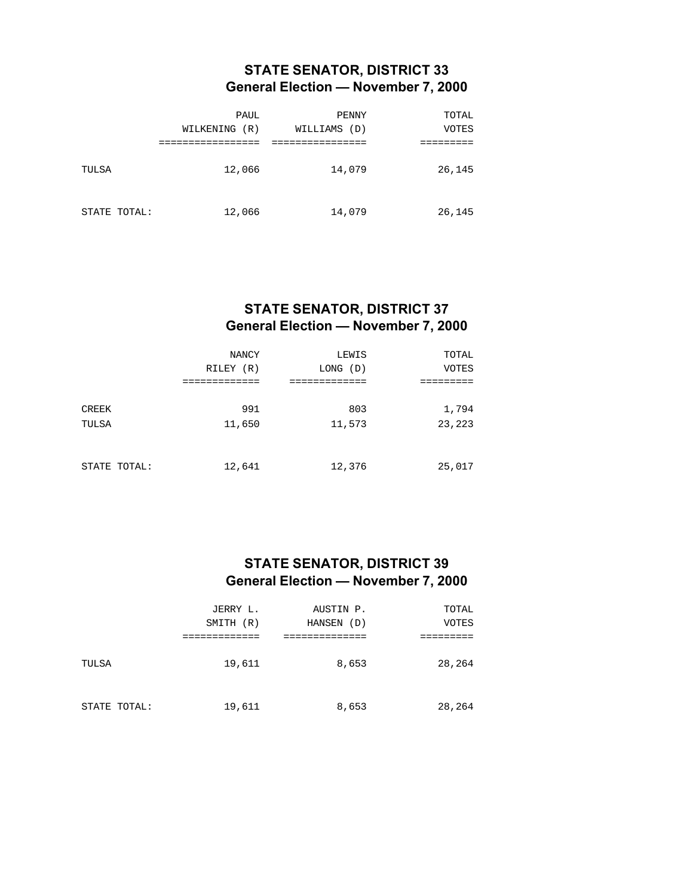## **STATE SENATOR, DISTRICT 33 General Election — November 7, 2000**

|              | PAUL<br>WILKENING<br>(R) | <b>PENNY</b><br>WILLIAMS<br>(D) | TOTAL<br><b>VOTES</b> |
|--------------|--------------------------|---------------------------------|-----------------------|
|              |                          |                                 |                       |
| TULSA        | 12,066                   | 14,079                          | 26,145                |
| STATE TOTAL: | 12,066                   | 14,079                          | 26,145                |

#### **STATE SENATOR, DISTRICT 37 General Election — November 7, 2000**

|              | NANCY     | LEWIS    | TOTAL        |
|--------------|-----------|----------|--------------|
|              | RILEY (R) | LONG (D) | <b>VOTES</b> |
|              |           |          |              |
|              |           |          |              |
| CREEK        | 991       | 803      | 1,794        |
| TULSA        | 11,650    | 11,573   | 23,223       |
|              |           |          |              |
|              |           |          |              |
| STATE TOTAL: | 12,641    | 12,376   | 25,017       |

#### **STATE SENATOR, DISTRICT 39 General Election — November 7, 2000**

|              | JERRY L.     | AUSTIN P.     | TOTAL        |
|--------------|--------------|---------------|--------------|
|              | SMITH<br>(R) | HANSEN<br>(D) | <b>VOTES</b> |
|              |              |               |              |
| TULSA        | 19,611       | 8,653         | 28,264       |
| STATE TOTAL: | 19,611       | 8,653         | 28,264       |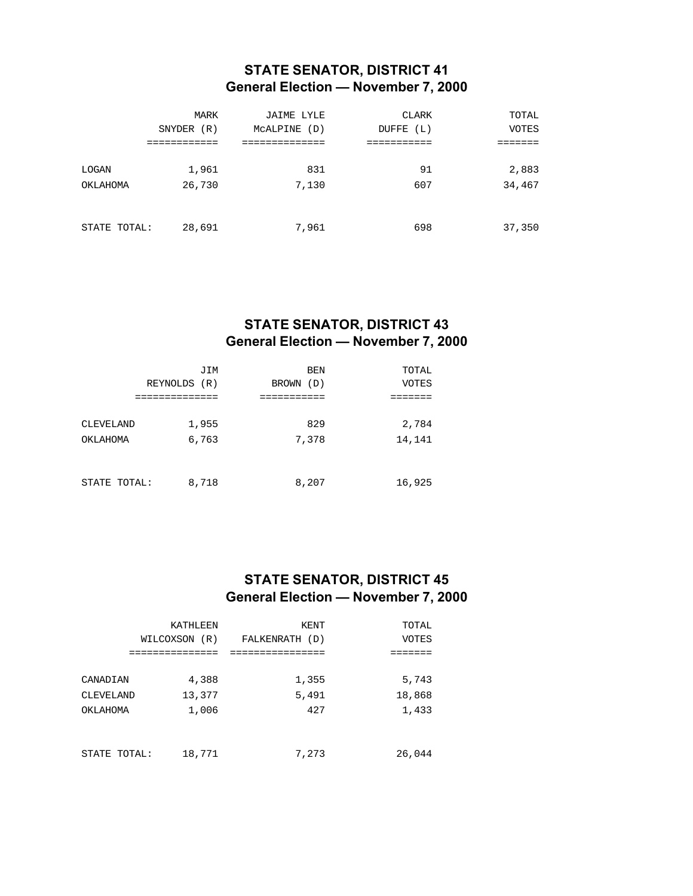## **STATE SENATOR, DISTRICT 41 General Election — November 7, 2000**

|              | MARK       | JAIME LYLE      | CLARK        | TOTAL        |
|--------------|------------|-----------------|--------------|--------------|
|              | SNYDER (R) | MCALPINE<br>(D) | DUFFE<br>(L) | <b>VOTES</b> |
|              | .          |                 |              |              |
|              |            | 831             |              |              |
| LOGAN        | 1,961      |                 | 91           | 2,883        |
| OKLAHOMA     | 26,730     | 7,130           | 607          | 34,467       |
|              |            |                 |              |              |
|              |            |                 |              |              |
| STATE TOTAL: | 28,691     | 7,961           | 698          | 37,350       |

# **STATE SENATOR, DISTRICT 43 General Election — November 7, 2000**

| JIM | <b>BEN</b>                              | TOTAL        |
|-----|-----------------------------------------|--------------|
|     | BROWN (D)                               | <b>VOTES</b> |
|     |                                         |              |
|     |                                         |              |
|     | 829                                     | 2,784        |
|     | 7,378                                   | 14,141       |
|     |                                         |              |
|     |                                         |              |
|     | 8,207                                   | 16,925       |
|     | REYNOLDS (R)<br>1,955<br>6,763<br>8,718 |              |

#### **STATE SENATOR, DISTRICT 45 General Election — November 7, 2000**

|              | KATHLEEN      | KENT           | TOTAL        |
|--------------|---------------|----------------|--------------|
|              | WILCOXSON (R) | FALKENRATH (D) | <b>VOTES</b> |
|              |               |                |              |
|              |               |                |              |
| CANADIAN     | 4,388         | 1,355          | 5,743        |
| CLEVELAND    | 13,377        | 5,491          | 18,868       |
| OKLAHOMA     | 1,006         | 427            | 1,433        |
|              |               |                |              |
|              |               |                |              |
| STATE TOTAL: | 18,771        | 7,273          | 26,044       |